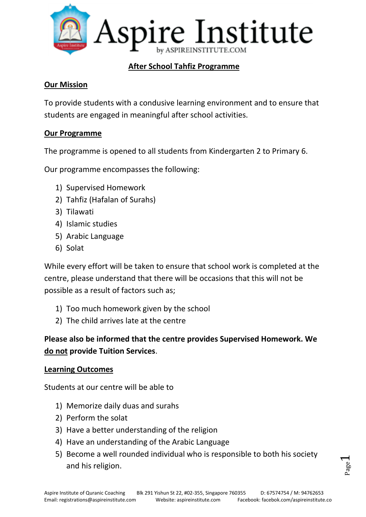

## **After School Tahfiz Programme**

#### **Our Mission**

To provide students with a condusive learning environment and to ensure that students are engaged in meaningful after school activities.

#### **Our Programme**

The programme is opened to all students from Kindergarten 2 to Primary 6.

Our programme encompasses the following:

- 1) Supervised Homework
- 2) Tahfiz (Hafalan of Surahs)
- 3) Tilawati
- 4) Islamic studies
- 5) Arabic Language
- 6) Solat

While every effort will be taken to ensure that school work is completed at the centre, please understand that there will be occasions that this will not be possible as a result of factors such as;

- 1) Too much homework given by the school
- 2) The child arrives late at the centre

# **Please also be informed that the centre provides Supervised Homework. We do not provide Tuition Services**.

#### **Learning Outcomes**

Students at our centre will be able to

- 1) Memorize daily duas and surahs
- 2) Perform the solat
- 3) Have a better understanding of the religion
- 4) Have an understanding of the Arabic Language
- 5) Become a well rounded individual who is responsible to both his society and his religion.

Page  $\overline{\phantom{0}}$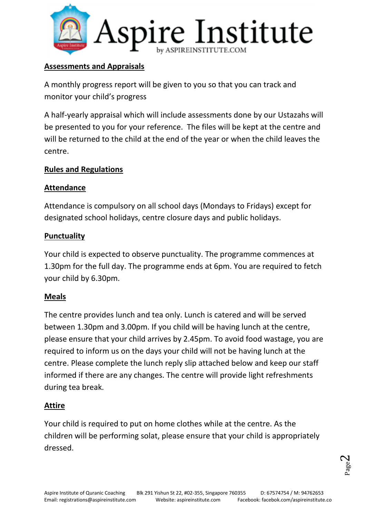

### **Assessments and Appraisals**

A monthly progress report will be given to you so that you can track and monitor your child's progress

A half-yearly appraisal which will include assessments done by our Ustazahs will be presented to you for your reference. The files will be kept at the centre and will be returned to the child at the end of the year or when the child leaves the centre.

### **Rules and Regulations**

## **Attendance**

Attendance is compulsory on all school days (Mondays to Fridays) except for designated school holidays, centre closure days and public holidays.

# **Punctuality**

Your child is expected to observe punctuality. The programme commences at 1.30pm for the full day. The programme ends at 6pm. You are required to fetch your child by 6.30pm.

# **Meals**

The centre provides lunch and tea only. Lunch is catered and will be served between 1.30pm and 3.00pm. If you child will be having lunch at the centre, please ensure that your child arrives by 2.45pm. To avoid food wastage, you are required to inform us on the days your child will not be having lunch at the centre. Please complete the lunch reply slip attached below and keep our staff informed if there are any changes. The centre will provide light refreshments during tea break.

# **Attire**

Your child is required to put on home clothes while at the centre. As the children will be performing solat, please ensure that your child is appropriately dressed.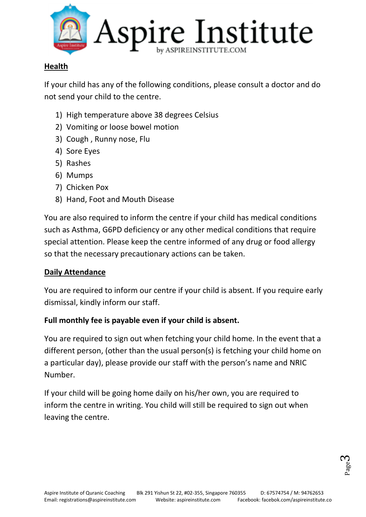

## **Health**

If your child has any of the following conditions, please consult a doctor and do not send your child to the centre.

- 1) High temperature above 38 degrees Celsius
- 2) Vomiting or loose bowel motion
- 3) Cough , Runny nose, Flu
- 4) Sore Eyes
- 5) Rashes
- 6) Mumps
- 7) Chicken Pox
- 8) Hand, Foot and Mouth Disease

You are also required to inform the centre if your child has medical conditions such as Asthma, G6PD deficiency or any other medical conditions that require special attention. Please keep the centre informed of any drug or food allergy so that the necessary precautionary actions can be taken.

### **Daily Attendance**

You are required to inform our centre if your child is absent. If you require early dismissal, kindly inform our staff.

### **Full monthly fee is payable even if your child is absent.**

You are required to sign out when fetching your child home. In the event that a different person, (other than the usual person(s) is fetching your child home on a particular day), please provide our staff with the person's name and NRIC Number.

If your child will be going home daily on his/her own, you are required to inform the centre in writing. You child will still be required to sign out when leaving the centre.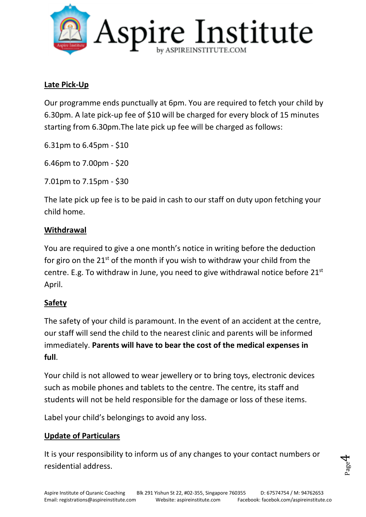

### **Late Pick-Up**

Our programme ends punctually at 6pm. You are required to fetch your child by 6.30pm. A late pick-up fee of \$10 will be charged for every block of 15 minutes starting from 6.30pm.The late pick up fee will be charged as follows:

6.31pm to 6.45pm - \$10

6.46pm to 7.00pm - \$20

7.01pm to 7.15pm - \$30

The late pick up fee is to be paid in cash to our staff on duty upon fetching your child home.

#### **Withdrawal**

You are required to give a one month's notice in writing before the deduction for giro on the  $21^{st}$  of the month if you wish to withdraw your child from the centre. E.g. To withdraw in June, you need to give withdrawal notice before  $21<sup>st</sup>$ April.

### **Safety**

The safety of your child is paramount. In the event of an accident at the centre, our staff will send the child to the nearest clinic and parents will be informed immediately. **Parents will have to bear the cost of the medical expenses in full**.

Your child is not allowed to wear jewellery or to bring toys, electronic devices such as mobile phones and tablets to the centre. The centre, its staff and students will not be held responsible for the damage or loss of these items.

Label your child's belongings to avoid any loss.

### **Update of Particulars**

It is your responsibility to inform us of any changes to your contact numbers or residential address.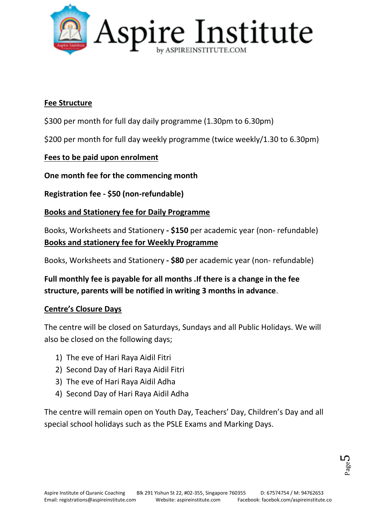

#### **Fee Structure**

\$300 per month for full day daily programme (1.30pm to 6.30pm)

\$200 per month for full day weekly programme (twice weekly/1.30 to 6.30pm)

### **Fees to be paid upon enrolment**

**One month fee for the commencing month**

**Registration fee - \$50 (non-refundable)**

#### **Books and Stationery fee for Daily Programme**

Books, Worksheets and Stationery **- \$150** per academic year (non- refundable) **Books and stationery fee for Weekly Programme**

Books, Worksheets and Stationery **- \$80** per academic year (non- refundable)

**Full monthly fee is payable for all months .If there is a change in the fee structure, parents will be notified in writing 3 months in advance**.

#### **Centre's Closure Days**

The centre will be closed on Saturdays, Sundays and all Public Holidays. We will also be closed on the following days;

- 1) The eve of Hari Raya Aidil Fitri
- 2) Second Day of Hari Raya Aidil Fitri
- 3) The eve of Hari Raya Aidil Adha
- 4) Second Day of Hari Raya Aidil Adha

The centre will remain open on Youth Day, Teachers' Day, Children's Day and all special school holidays such as the PSLE Exams and Marking Days.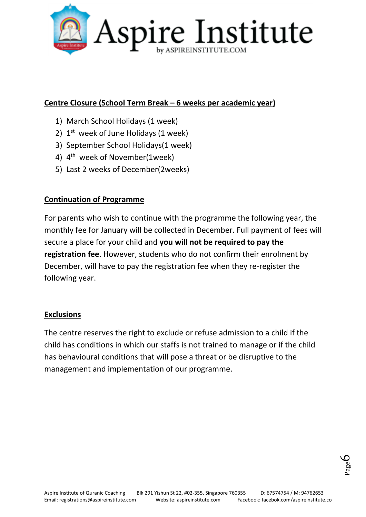

### **Centre Closure (School Term Break – 6 weeks per academic year)**

- 1) March School Holidays (1 week)
- 2)  $1<sup>st</sup>$  week of June Holidays (1 week)
- 3) September School Holidays(1 week)
- 4) 4<sup>th</sup> week of November(1week)
- 5) Last 2 weeks of December(2weeks)

## **Continuation of Programme**

For parents who wish to continue with the programme the following year, the monthly fee for January will be collected in December. Full payment of fees will secure a place for your child and **you will not be required to pay the registration fee**. However, students who do not confirm their enrolment by December, will have to pay the registration fee when they re-register the following year.

### **Exclusions**

The centre reserves the right to exclude or refuse admission to a child if the child has conditions in which our staffs is not trained to manage or if the child has behavioural conditions that will pose a threat or be disruptive to the management and implementation of our programme.

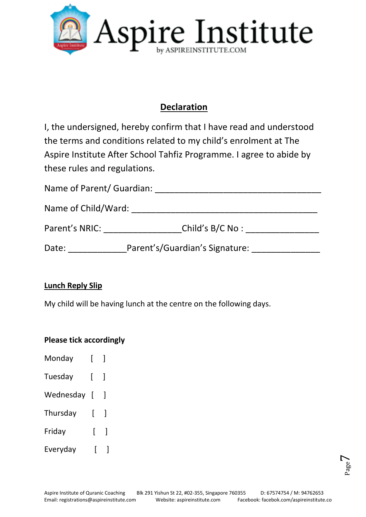

# **Declaration**

I, the undersigned, hereby confirm that I have read and understood the terms and conditions related to my child's enrolment at The Aspire Institute After School Tahfiz Programme. I agree to abide by these rules and regulations.

| Name of Parent/ Guardian: |                                |
|---------------------------|--------------------------------|
| Name of Child/Ward:       |                                |
| Parent's NRIC:            | Child's B/C No:                |
| Date:                     | Parent's/Guardian's Signature: |

### **Lunch Reply Slip**

My child will be having lunch at the centre on the following days.

### **Please tick accordingly**

| Monday    | ſ              |   |
|-----------|----------------|---|
| Tuesday   | L              | Ì |
| Wednesday | $\overline{1}$ | 1 |
| Thursday  | ſ              | 1 |
| Friday    | ſ              | 1 |
| Everyday  |                |   |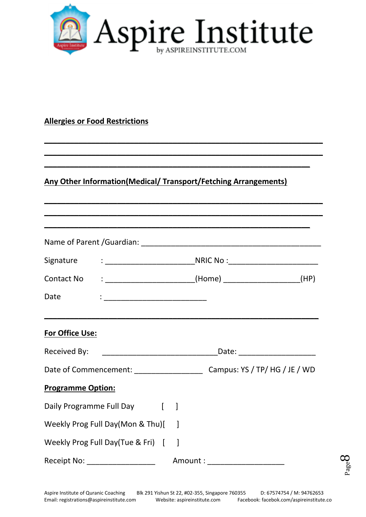

**\_\_\_\_\_\_\_\_\_\_\_\_\_\_\_\_\_\_\_\_\_\_\_\_\_\_\_\_\_\_\_\_\_\_\_\_\_\_\_\_\_\_\_\_\_\_\_\_\_\_\_\_\_\_\_\_\_\_\_\_\_\_\_\_\_ \_\_\_\_\_\_\_\_\_\_\_\_\_\_\_\_\_\_\_\_\_\_\_\_\_\_\_\_\_\_\_\_\_\_\_\_\_\_\_\_\_\_\_\_\_\_\_\_\_\_\_\_\_\_\_\_\_\_\_\_\_\_\_\_\_**

**\_\_\_\_\_\_\_\_\_\_\_\_\_\_\_\_\_\_\_\_\_\_\_\_\_\_\_\_\_\_\_\_\_\_\_\_\_\_\_\_\_\_\_\_\_\_\_\_\_\_\_\_\_\_\_\_\_\_\_\_\_\_\_\_\_ \_\_\_\_\_\_\_\_\_\_\_\_\_\_\_\_\_\_\_\_\_\_\_\_\_\_\_\_\_\_\_\_\_\_\_\_\_\_\_\_\_\_\_\_\_\_\_\_\_\_\_\_\_\_\_\_\_\_\_\_\_\_\_\_\_**

**\_\_\_\_\_\_\_\_\_\_\_\_\_\_\_\_\_\_\_\_\_\_\_\_\_\_\_\_\_\_\_\_\_\_\_\_\_\_\_\_\_\_\_\_\_\_\_\_\_\_\_\_\_\_\_\_\_\_\_\_\_\_**

### **Allergies or Food Restrictions**

# **Any Other Information(Medical/ Transport/Fetching Arrangements)**

|                                     | Date : <u>________________________</u> |  |  |                                 |                                |  |  |
|-------------------------------------|----------------------------------------|--|--|---------------------------------|--------------------------------|--|--|
| For Office Use:                     |                                        |  |  |                                 |                                |  |  |
|                                     |                                        |  |  |                                 | _Date: _______________________ |  |  |
|                                     |                                        |  |  |                                 |                                |  |  |
| <b>Programme Option:</b>            |                                        |  |  |                                 |                                |  |  |
| Daily Programme Full Day [ ]        |                                        |  |  |                                 |                                |  |  |
| Weekly Prog Full Day(Mon & Thu)[    |                                        |  |  |                                 |                                |  |  |
| Weekly Prog Full Day(Tue & Fri) [ ] |                                        |  |  |                                 |                                |  |  |
|                                     | Receipt No: _____________________      |  |  | Amount : ______________________ |                                |  |  |

Page  $\infty$